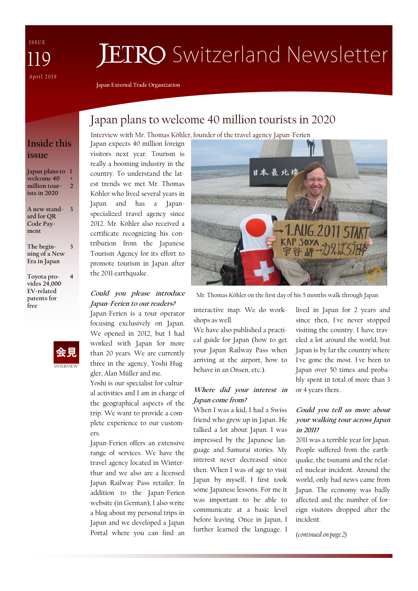I S S U E April 2019 119

# **JETRO** Switzerland Newsletter

**Japan External Trade Organization**

# Japan plans to welcome 40 million tourists in 2020

## **Inside this issue**

**Japan plans to 1 welcome 40 million tourists in 2020 + 2**

**A new stand-3 ard for QR Code Payment** 

**The beginning of a New Era in Japan 3**

**Toyota provides 24,000 EV-related patents for free**



**4**

Interview with Mr. Thomas Köhler, founder of the travel agency Japan-Ferien

Japan expects 40 million foreign visitors next year. Tourism is really a booming industry in the country. To understand the latest trends we met Mr. Thomas Köhler who lived several years in Japan and has a Japanspecialized travel agency since 2012. Mr. Köhler also received a certificate recognizing his contribution from the Japanese Tourism Agency for its effort to promote tourism in Japan after the 2011 earthquake.

## **Could you please introduce Japan-Ferien to our readers?**

Japan-Ferien is a tour operator focusing exclusively on Japan. We opened in 2012, but I had worked with Japan for more than 20 years. We are currently three in the agency, Yoshi Huggler, Alan Müller and me.

Yoshi is our specialist for cultural activities and I am in charge of the geographical aspects of the trip. We want to provide a complete experience to our customers.

Japan-Ferien offers an extensive range of services. We have the travel agency located in Winterthur and we also are a licensed Japan Railway Pass retailer. In addition to the Japan-Ferien website (in German), I also write a blog about my personal trips in Japan and we developed a Japan Portal where you can find an



Mr. Thomas Köhler on the first day of his 5 months walk through Japan

interactive map. We do workshops as well.

We have also published a practical guide for Japan (how to get your Japan Railway Pass when arriving at the airport, how to behave in an Onsen, etc.).

## **Where did your interest in Japan come from?**

When I was a kid, I had a Swiss friend who grew up in Japan. He talked a lot about Japan. I was impressed by the Japanese language and Samurai stories. My interest never decreased since then. When I was of age to visit Japan by myself, I first took some Japanese lessons. For me it was important to be able to communicate at a basic level before leaving. Once in Japan, I further learned the language. I

lived in Japan for 2 years and since then, I've never stopped visiting the country. I have traveled a lot around the world, but Japan is by far the country where I've gone the most. I've been to Japan over 50 times and probably spent in total of more than 3 or 4 years there.

## **Could you tell us more about your walking tour across Japan in 2011?**

2011 was a terrible year for Japan. People suffered from the earthquake, the tsunami and the related nuclear incident. Around the world, only bad news came from Japan. The economy was badly affected and the number of foreign visitors dropped after the incident.

*(continued on page 2)*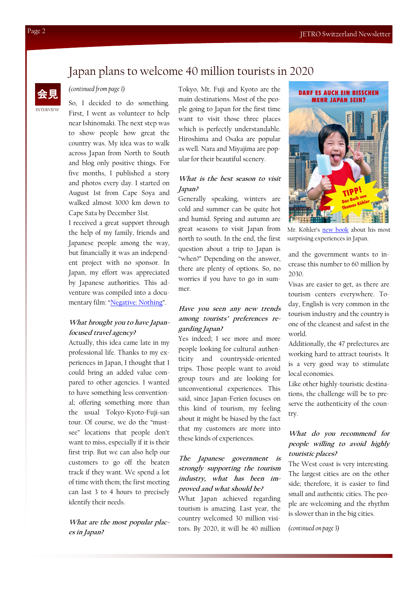# Japan plans to welcome 40 million tourists in 2020



#### *(continued from page 1)*

So, I decided to do something. First, I went as volunteer to help near Ishinomaki. The next step was to show people how great the country was. My idea was to walk across Japan from North to South and blog only positive things. For five months, I published a story and photos every day. I started on August 1st from Cape Soya and walked almost 3000 km down to Cape Sata by December 31st.

I received a great support through the help of my family, friends and Japanese people among the way, but financially it was an independent project with no sponsor. In Japan, my effort was appreciated by Japanese authorities. This adventure was compiled into a documentary film: "[Negative: Nothing](https://negativenothing.com/)".

#### **What brought you to have Japanfocused travel agency?**

Actually, this idea came late in my professional life. Thanks to my experiences in Japan, I thought that I could bring an added value compared to other agencies. I wanted to have something less conventional; offering something more than the usual Tokyo-Kyoto-Fuji-san tour. Of course, we do the "mustsee" locations that people don't want to miss, especially if it is their first trip. But we can also help our customers to go off the beaten track if they want. We spend a lot of time with them; the first meeting can last 3 to 4 hours to precisely identify their needs.

**What are the most popular places in Japan?**

Tokyo, Mt. Fuji and Kyoto are the main destinations. Most of the people going to Japan for the first time want to visit those three places which is perfectly understandable. Hiroshima and Osaka are popular as well. Nara and Miyajima are popular for their beautiful scenery.

### **What is the best season to visit Japan?**

Generally speaking, winters are cold and summer can be quite hot and humid. Spring and autumn are great seasons to visit Japan from north to south. In the end, the first question about a trip to Japan is "when?" Depending on the answer, there are plenty of options. So, no worries if you have to go in summer.

#### **Have you seen any new trends among tourists' preferences regarding Japan?**

Yes indeed; I see more and more people looking for cultural authenticity and countryside-oriented trips. Those people want to avoid group tours and are looking for unconventional experiences. This said, since Japan-Ferien focuses on this kind of tourism, my feeling about it might be biased by the fact that my customers are more into these kinds of experiences.

## **The Japanese government is strongly supporting the tourism industry, what has been improved and what should be?**

What Japan achieved regarding tourism is amazing. Last year, the country welcomed 30 million visitors. By 2020, it will be 40 million



Mr. Köhler's [new book](https://www.japanreise-shop.ch/produkte-4.html) about his most surprising experiences in Japan.

and the government wants to increase this number to 60 million by 2030.

Visas are easier to get, as there are tourism centers everywhere. Today, English is very common in the tourism industry and the country is one of the cleanest and safest in the world.

Additionally, the 47 prefectures are working hard to attract tourists. It is a very good way to stimulate local economies.

Like other highly-touristic destinations, the challenge will be to preserve the authenticity of the country.

## **What do you recommend for people willing to avoid highly touristic places?**

The West coast is very interesting. The largest cities are on the other side; therefore, it is easier to find small and authentic cities. The people are welcoming and the rhythm is slower than in the big cities.

*(continued on page 3)*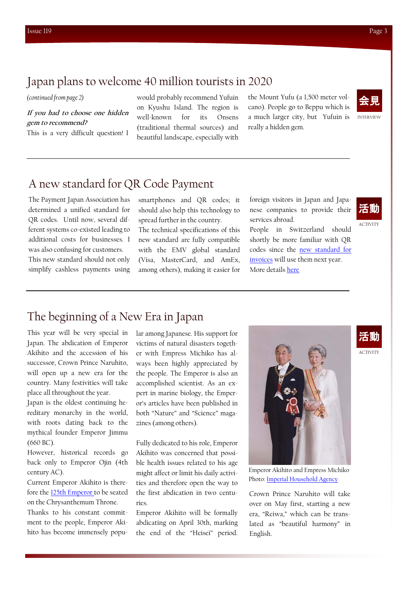## Japan plans to welcome 40 million tourists in 2020

#### *(continued from page 2)*

**If you had to choose one hidden gem to recommend?** 

This is a very difficult question! I

would probably recommend Yufuin on Kyushu Island. The region is well-known for its Onsens (traditional thermal sources) and beautiful landscape, especially with the Mount Yufu (a 1,500 meter volcano). People go to Beppu which is a much larger city, but Yufuin is really a hidden gem.



INTERVIEW

# A new standard for QR Code Payment

The Payment Japan Association has determined a unified standard for QR codes. Until now, several different systems co-existed leading to additional costs for businesses. I was also confusing for customers.

This new standard should not only simplify cashless payments using smartphones and QR codes; it should also help this technology to spread further in the country.

The technical specifications of this new standard are fully compatible with the EMV global standard (Visa, MasterCard, and AmEx, among others), making it easier for foreign visitors in Japan and Japanese companies to provide their services abroad.

People in Switzerland should shortly be more familiar with QR codes since the [new standard for](https://www.six-group.com/interbank-clearing/fr/shared/questions-answers/faq/faq/qr.html)  [invoices](https://www.six-group.com/interbank-clearing/fr/shared/questions-answers/faq/faq/qr.html) will use them next year.

More details [here](https://www.meti.go.jp/english/press/2019/0329_001.html)

活動

**ACTIVITY** 

ACTIVITY

活動

# The beginning of a New Era in Japan

This year will be very special in Japan. The abdication of Emperor Akihito and the accession of his successor, Crown Prince Naruhito, will open up a new era for the country. Many festivities will take place all throughout the year.

Japan is the oldest continuing hereditary monarchy in the world, with roots dating back to the mythical founder Emperor Jimmu (660 BC).

However, historical records go back only to Emperor Ojin (4th century AC).

Current Emperor Akihito is therefore the [125th Emperor to](https://en.wikipedia.org/wiki/List_of_Emperors_of_Japan) be seated on the Chrysanthemum Throne.

Thanks to his constant commitment to the people, Emperor Akihito has become immensely popular among Japanese. His support for victims of natural disasters together with Empress Michiko has always been highly appreciated by the people. The Emperor is also an accomplished scientist. As an expert in marine biology, the Emperor's articles have been published in both "Nature" and "Science" magazines (among others).

Fully dedicated to his role, Emperor Akihito was concerned that possible health issues related to his age might affect or limit his daily activities and therefore open the way to the first abdication in two centuries.

Emperor Akihito will be formally abdicating on April 30th, marking the end of the "Heisei" period.



Emperor Akihito and Empress Michiko Photo: [Imperial Household Agency](http://www.kunaicho.go.jp/e-about/activity/activity01.html)

Crown Prince Naruhito will take over on May first, starting a new era, "Reiwa," which can be translated as "beautiful harmony" in English.